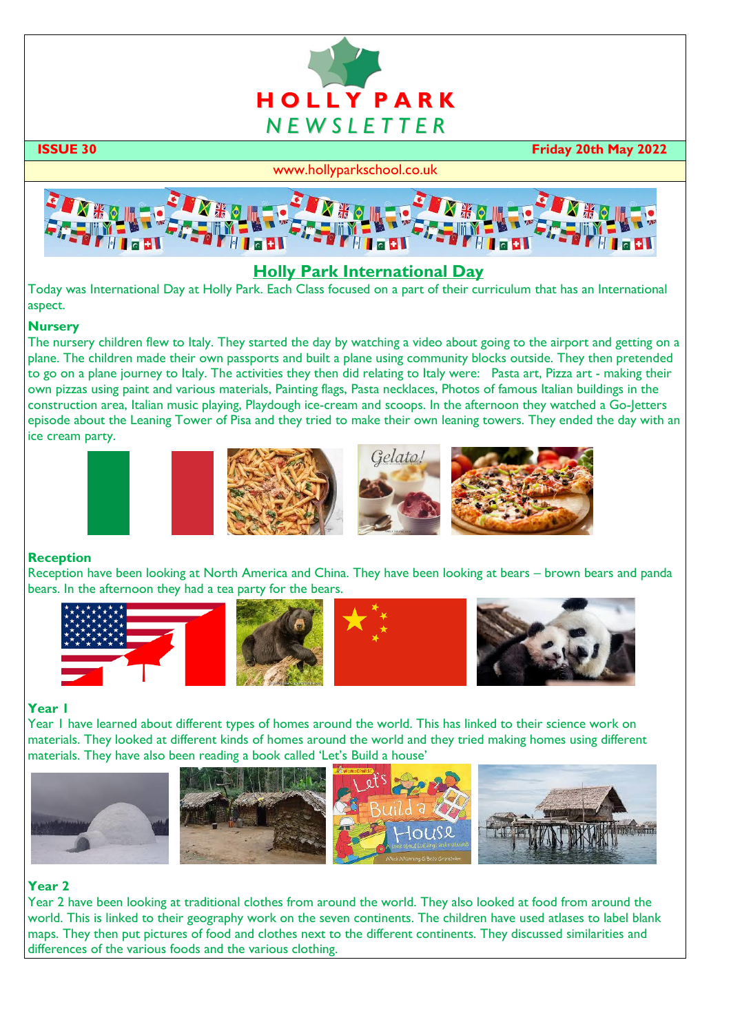

 **ISSUE 30 Friday 20th May 2022**

#### www.hollyparkschool.co.uk



# **Holly Park International Day**

Today was International Day at Holly Park. Each Class focused on a part of their curriculum that has an International aspect.

#### **Nursery**

The nursery children flew to Italy. They started the day by watching a video about going to the airport and getting on a plane. The children made their own passports and built a plane using community blocks outside. They then pretended to go on a plane journey to Italy. The activities they then did relating to Italy were: Pasta art, Pizza art - making their own pizzas using paint and various materials, Painting flags, Pasta necklaces, Photos of famous Italian buildings in the construction area, Italian music playing, Playdough ice-cream and scoops. In the afternoon they watched a Go-Jetters episode about the Leaning Tower of Pisa and they tried to make their own leaning towers. They ended the day with an ice cream party.









# **Reception**

Reception have been looking at North America and China. They have been looking at bears – brown bears and panda bears. In the afternoon they had a tea party for the bears.





#### **Year 1**

Year 1 have learned about different types of homes around the world. This has linked to their science work on materials. They looked at different kinds of homes around the world and they tried making homes using different materials. They have also been reading a book called 'Let's Build a house'



# **Year 2**

Year 2 have been looking at traditional clothes from around the world. They also looked at food from around the world. This is linked to their geography work on the seven continents. The children have used atlases to label blank maps. They then put pictures of food and clothes next to the different continents. They discussed similarities and differences of the various foods and the various clothing.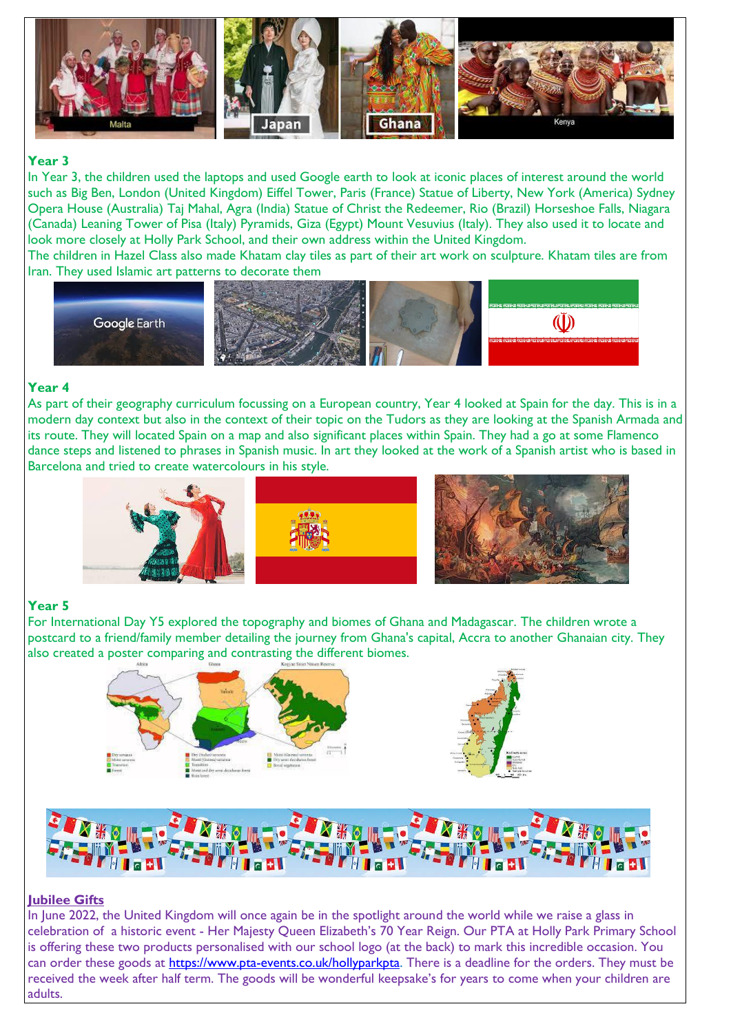

#### **Year 3**

In Year 3, the children used the laptops and used Google earth to look at iconic places of interest around the world such as Big Ben, London (United Kingdom) Eiffel Tower, Paris (France) Statue of Liberty, New York (America) Sydney Opera House (Australia) Taj Mahal, Agra (India) Statue of Christ the Redeemer, Rio (Brazil) Horseshoe Falls, Niagara (Canada) Leaning Tower of Pisa (Italy) Pyramids, Giza (Egypt) Mount Vesuvius (Italy). They also used it to locate and look more closely at Holly Park School, and their own address within the United Kingdom.

The children in Hazel Class also made Khatam clay tiles as part of their art work on sculpture. Khatam tiles are from Iran. They used Islamic art patterns to decorate them



#### **Year 4**

As part of their geography curriculum focussing on a European country, Year 4 looked at Spain for the day. This is in a modern day context but also in the context of their topic on the Tudors as they are looking at the Spanish Armada and its route. They will located Spain on a map and also significant places within Spain. They had a go at some Flamenco dance steps and listened to phrases in Spanish music. In art they looked at the work of a Spanish artist who is based in Barcelona and tried to create watercolours in his style.



# **Year 5**

For International Day Y5 explored the topography and biomes of Ghana and Madagascar. The children wrote a postcard to a friend/family member detailing the journey from Ghana's capital, Accra to another Ghanaian city. They also created a poster comparing and contrasting the different biomes.





# **Jubilee Gifts**

In June 2022, the United Kingdom will once again be in the spotlight around the world while we raise a glass in celebration of a historic event - Her Majesty Queen Elizabeth's 70 Year Reign. Our PTA at Holly Park Primary School is offering these two products personalised with our school logo (at the back) to mark this incredible occasion. You can order these goods at [https://www.pta-events.co.uk/hollyparkpta.](https://www.pta-events.co.uk/hollyparkpta) There is a deadline for the orders. They must be received the week after half term. The goods will be wonderful keepsake's for years to come when your children are adults.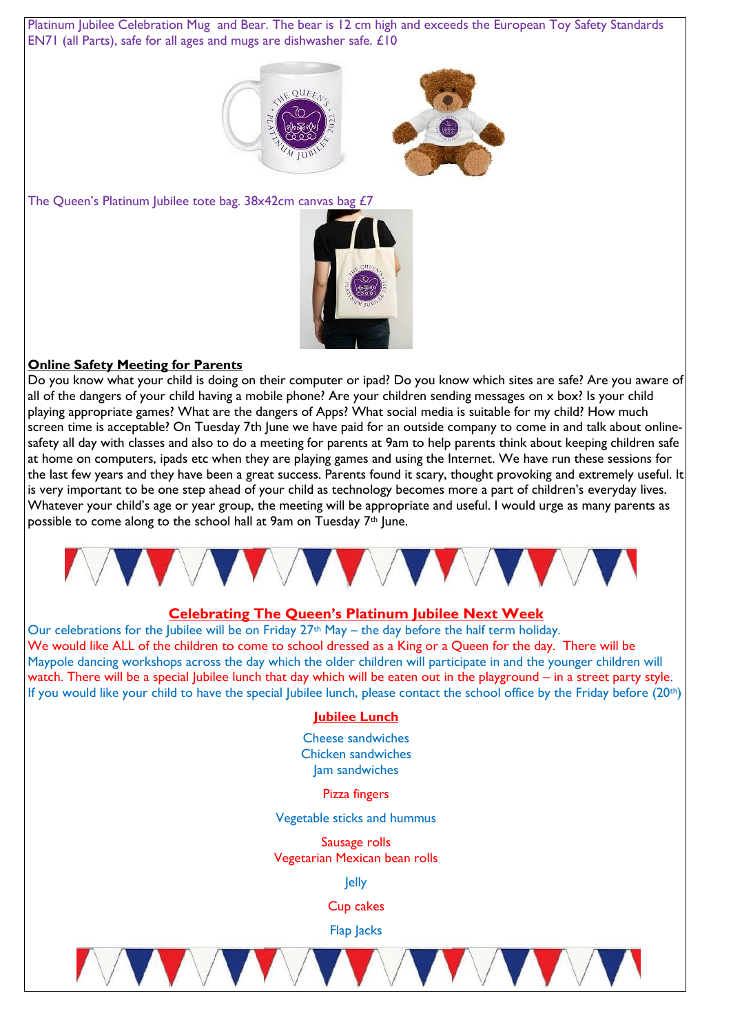Platinum Jubilee Celebration Mug and Bear. The bear is 12 cm high and exceeds the European Toy Safety Standards EN71 (all Parts), safe for all ages and mugs are dishwasher safe. £10





The Queen's Platinum Jubilee tote bag. 38x42cm canvas bag £7



# **Online Safety Meeting for Parents**

Do you know what your child is doing on their computer or ipad? Do you know which sites are safe? Are you aware of all of the dangers of your child having a mobile phone? Are your children sending messages on x box? Is your child playing appropriate games? What are the dangers of Apps? What social media is suitable for my child? How much screen time is acceptable? On Tuesday 7th June we have paid for an outside company to come in and talk about onlinesafety all day with classes and also to do a meeting for parents at 9am to help parents think about keeping children safe at home on computers, ipads etc when they are playing games and using the Internet. We have run these sessions for the last few years and they have been a great success. Parents found it scary, thought provoking and extremely useful. It is very important to be one step ahead of your child as technology becomes more a part of children's everyday lives. Whatever your child's age or year group, the meeting will be appropriate and useful. I would urge as many parents as possible to come along to the school hall at 9am on Tuesday  $7<sup>th</sup>$  lune.



# **Celebrating The Queen's Platinum Jubilee Next Week**

Our celebrations for the Jubilee will be on Friday  $27<sup>th</sup>$  May – the day before the half term holiday. We would like ALL of the children to come to school dressed as a King or a Queen for the day. There will be Maypole dancing workshops across the day which the older children will participate in and the younger children will watch. There will be a special Jubilee lunch that day which will be eaten out in the playground – in a street party style. If you would like your child to have the special Jubilee lunch, please contact the school office by the Friday before (20th)

# **Jubilee Lunch**

Cheese sandwiches Chicken sandwiches Jam sandwiches

Pizza fingers

Vegetable sticks and hummus

Sausage rolls Vegetarian Mexican bean rolls

Jelly

Cup cakes

Flap Jacks

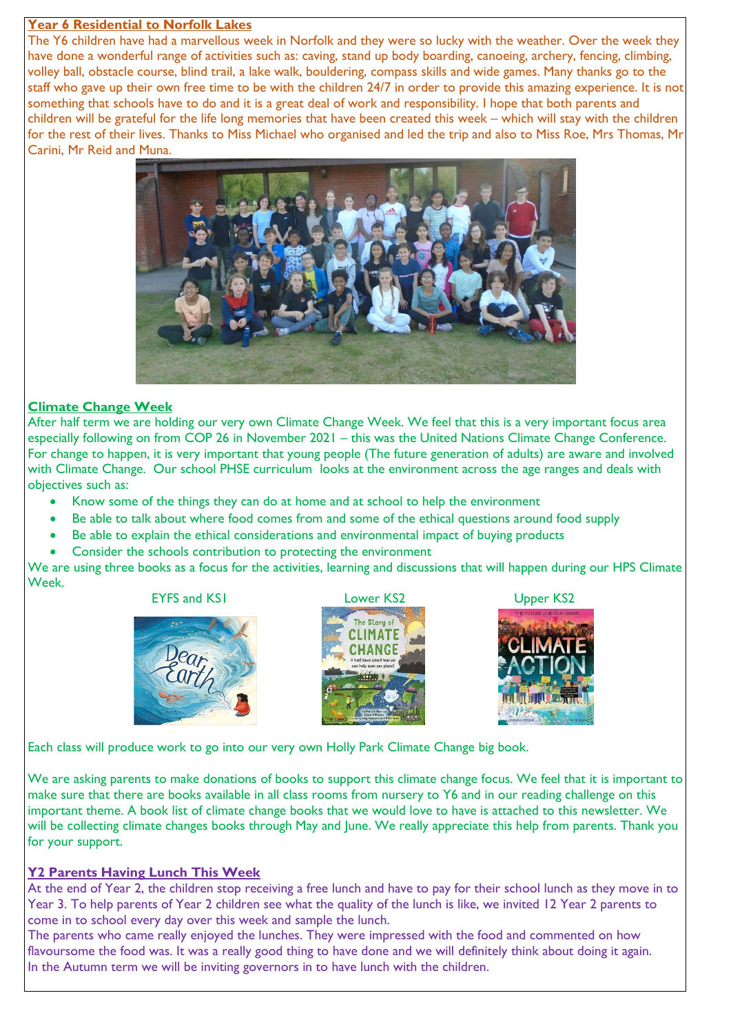#### **Year 6 Residential to Norfolk Lakes**

The Y6 children have had a marvellous week in Norfolk and they were so lucky with the weather. Over the week they have done a wonderful range of activities such as: caving, stand up body boarding, canoeing, archery, fencing, climbing, volley ball, obstacle course, blind trail, a lake walk, bouldering, compass skills and wide games. Many thanks go to the staff who gave up their own free time to be with the children 24/7 in order to provide this amazing experience. It is not something that schools have to do and it is a great deal of work and responsibility. I hope that both parents and children will be grateful for the life long memories that have been created this week – which will stay with the children for the rest of their lives. Thanks to Miss Michael who organised and led the trip and also to Miss Roe, Mrs Thomas, Mr Carini, Mr Reid and Muna.



# **Climate Change Week**

After half term we are holding our very own Climate Change Week. We feel that this is a very important focus area especially following on from COP 26 in November 2021 – this was the United Nations Climate Change Conference. For change to happen, it is very important that young people (The future generation of adults) are aware and involved with Climate Change. Our school PHSE curriculum looks at the environment across the age ranges and deals with objectives such as:

- Know some of the things they can do at home and at school to help the environment
- Be able to talk about where food comes from and some of the ethical questions around food supply
- Be able to explain the ethical considerations and environmental impact of buying products
- Consider the schools contribution to protecting the environment

We are using three books as a focus for the activities, learning and discussions that will happen during our HPS Climate Week.









Each class will produce work to go into our very own Holly Park Climate Change big book.

We are asking parents to make donations of books to support this climate change focus. We feel that it is important to make sure that there are books available in all class rooms from nursery to Y6 and in our reading challenge on this important theme. A book list of climate change books that we would love to have is attached to this newsletter. We will be collecting climate changes books through May and June. We really appreciate this help from parents. Thank you for your support.

# **Y2 Parents Having Lunch This Week**

At the end of Year 2, the children stop receiving a free lunch and have to pay for their school lunch as they move in to Year 3. To help parents of Year 2 children see what the quality of the lunch is like, we invited 12 Year 2 parents to come in to school every day over this week and sample the lunch.

The parents who came really enjoyed the lunches. They were impressed with the food and commented on how flavoursome the food was. It was a really good thing to have done and we will definitely think about doing it again. In the Autumn term we will be inviting governors in to have lunch with the children.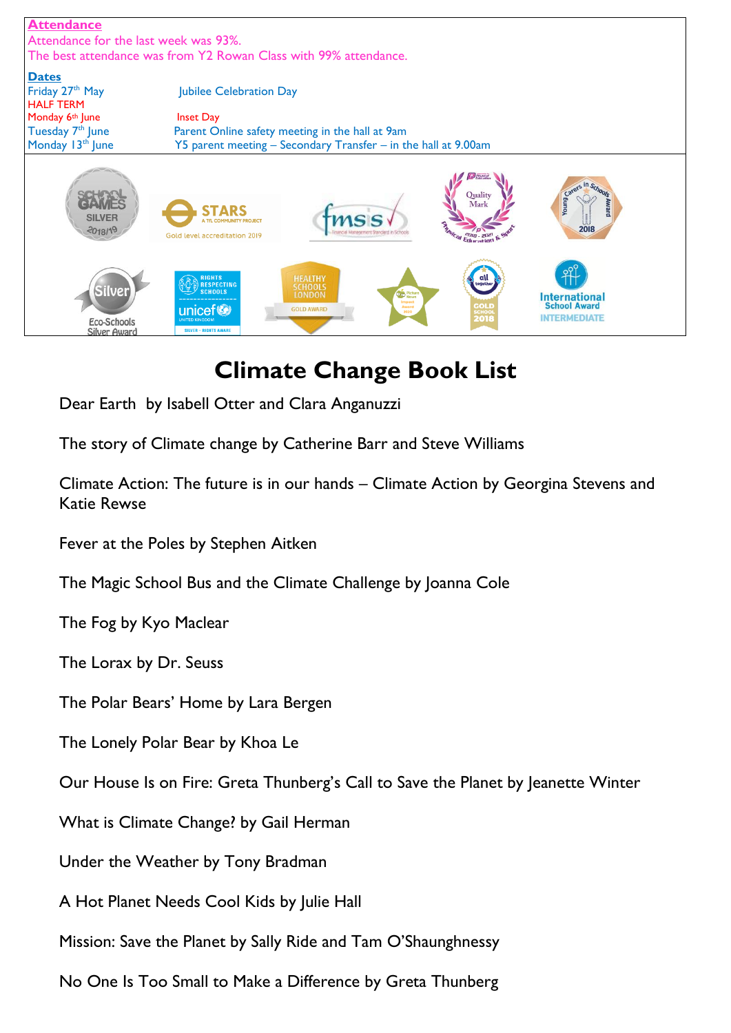

# **Climate Change Book List**

Dear Earth by Isabell Otter and Clara Anganuzzi

The story of Climate change by Catherine Barr and Steve Williams

Climate Action: The future is in our hands – Climate Action by Georgina Stevens and Katie Rewse

[Fever at the Poles by Stephen Aitken](https://www.feministbooksforkids.com/books-about-climate-change/#Fever_at_the_Poles_by_Stephen_Aitken)

[The Magic School Bus and the Climate Challenge by Joanna Cole](https://www.feministbooksforkids.com/books-about-climate-change/#The_Magic_School_Bus_and_the_Climate_Challenge_by_Joanna_Cole)

[The Fog by Kyo Maclear](https://www.feministbooksforkids.com/books-about-climate-change/#The_Fog_by_Kyo_Maclear)

[The Lorax by Dr. Seuss](https://www.feministbooksforkids.com/books-about-climate-change/#The_Lorax_by_Dr_Seuss)

[The Polar Bears' Home by Lara Bergen](https://www.feministbooksforkids.com/books-about-climate-change/#The_Polar_Bears_Home_by_Lara_Bergen)

[The Lonely Polar Bear by Khoa Le](https://www.feministbooksforkids.com/books-about-climate-change/#The_Lonely_Polar_Bear_by_Khoa_Le)

[Our House Is on Fire: Greta Thunberg's Call to Save the Planet by Jeanette Winter](https://www.feministbooksforkids.com/books-about-climate-change/#Our_House_Is_on_Fire_Greta_Thunbergs_Call_to_Save_the_Planet_by_Jeanette_Winter)

[What is Climate Change? by Gail Herman](https://www.feministbooksforkids.com/books-about-climate-change/#What_is_Climate_Change_by_Gail_Herman)

[Under the Weather by Tony Bradman](https://www.feministbooksforkids.com/books-about-climate-change/#Under_the_Weather_by_Tony_Bradman)

[A Hot Planet Needs Cool Kids by Julie Hall](https://www.feministbooksforkids.com/books-about-climate-change/#A_Hot_Planet_Needs_Cool_Kids_by_Julie_Hall)

[Mission: Save the Planet by Sally Ride and Tam O'Shaunghnessy](https://www.feministbooksforkids.com/books-about-climate-change/#Mission_Save_the_Planet_by_Sally_Ride_and_Tam_OShaunghnessy)

[No One Is Too Small to Make a Difference by Greta Thunberg](https://www.feministbooksforkids.com/books-about-climate-change/#No_One_Is_Too_Small_to_Make_a_Difference_by_Greta_Thunberg)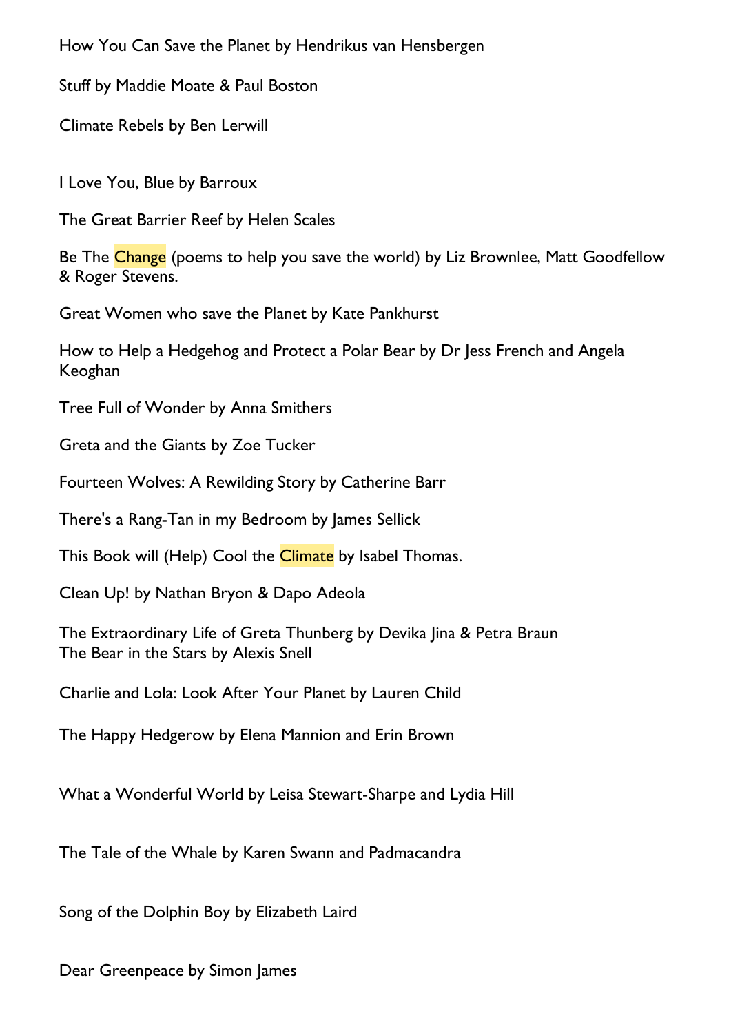[How You Can Save the Planet](https://www.penguin.co.uk/books/317556/how-you-can-save-the-planet/9780241453049.html) by Hendrikus van Hensbergen

[Stuff](https://www.penguin.co.uk/books/319454/stuff/9780241489437.html) by Maddie Moate & Paul Boston

[Climate Rebels](https://www.penguin.co.uk/books/316093/climate-rebels/9780241440421.html) by Ben Lerwill

I Love You, Blue by Barroux

The Great Barrier Reef by Helen Scales

Be The Change (poems to help you save the world) by Liz Brownlee, Matt Goodfellow & Roger Stevens.

Great Women who save the Planet by Kate Pankhurst

How to Help a Hedgehog and Protect a Polar Bear by Dr Jess French and Angela Keoghan

Tree Full of Wonder by Anna Smithers

Greta and the Giants by Zoe Tucker

Fourteen Wolves: A Rewilding Story by Catherine Barr

There's a Rang-Tan in my Bedroom by James Sellick

This Book will (Help) Cool the *Climate* by Isabel Thomas.

[Clean Up!](https://www.penguin.co.uk/books/308216/clean-up-/9780241345894.html) by Nathan Bryon & Dapo Adeola

[The Extraordinary Life of Greta Thunberg](https://www.penguin.co.uk/books/316876/the-extraordinary-life-of-greta-thunberg/9780241443897.html) by Devika Jina & Petra Braun [The Bear in the Stars](https://www.penguin.co.uk/books/316224/the-bear-in-the-stars/9780241441923.html) by Alexis Snell

[Charlie and Lola: Look After Your Planet](https://www.penguin.co.uk/books/60114/charlie-and-lola--look-after-your-planet.html) by Lauren Child

The Happy Hedgerow by Elena Mannion and Erin Brown

What a Wonderful World by Leisa Stewart-Sharpe and Lydia Hill

The Tale of the Whale by Karen Swann and Padmacandra

Song of the Dolphin Boy by Elizabeth Laird

Dear Greenpeace by Simon James